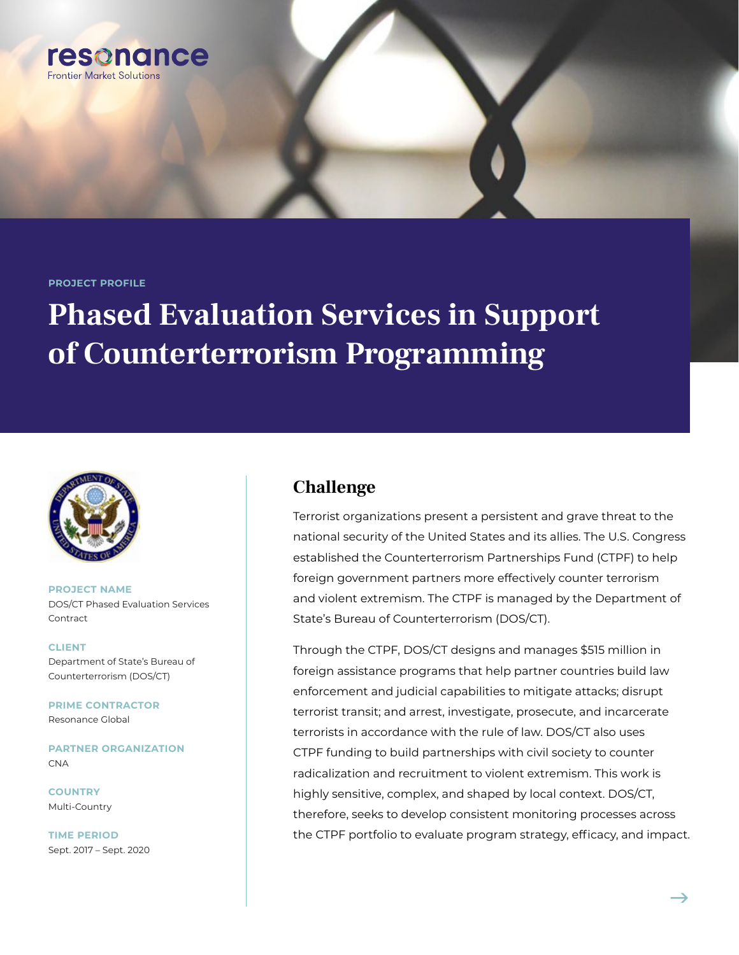

#### **PROJECT PROFILE**

# **Phased Evaluation Services in Support of Counterterrorism Programming**



**PROJECT NAME** DOS/CT Phased Evaluation Services Contract

**CLIENT** Department of State's Bureau of Counterterrorism (DOS/CT)

**PRIME CONTRACTOR** Resonance Global

**PARTNER ORGANIZATION** CNA

**COUNTRY** Multi-Country

**TIME PERIOD** Sept. 2017 – Sept. 2020

### **Challenge**

Terrorist organizations present a persistent and grave threat to the national security of the United States and its allies. The U.S. Congress established the Counterterrorism Partnerships Fund (CTPF) to help foreign government partners more effectively counter terrorism and violent extremism. The CTPF is managed by the Department of State's Bureau of Counterterrorism (DOS/CT).

Through the CTPF, DOS/CT designs and manages \$515 million in foreign assistance programs that help partner countries build law enforcement and judicial capabilities to mitigate attacks; disrupt terrorist transit; and arrest, investigate, prosecute, and incarcerate terrorists in accordance with the rule of law. DOS/CT also uses CTPF funding to build partnerships with civil society to counter radicalization and recruitment to violent extremism. This work is highly sensitive, complex, and shaped by local context. DOS/CT, therefore, seeks to develop consistent monitoring processes across the CTPF portfolio to evaluate program strategy, efficacy, and impact.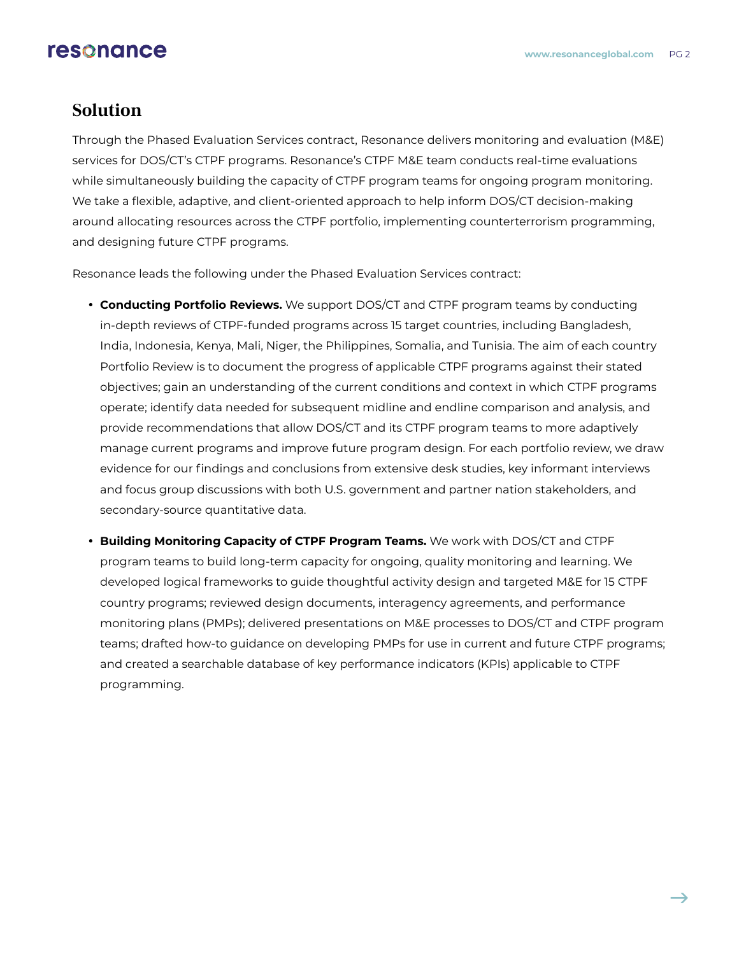# resonance

#### **Solution**

Through the Phased Evaluation Services contract, Resonance delivers monitoring and evaluation (M&E) services for DOS/CT's CTPF programs. Resonance's CTPF M&E team conducts real-time evaluations while simultaneously building the capacity of CTPF program teams for ongoing program monitoring. We take a flexible, adaptive, and client-oriented approach to help inform DOS/CT decision-making around allocating resources across the CTPF portfolio, implementing counterterrorism programming, and designing future CTPF programs.

Resonance leads the following under the Phased Evaluation Services contract:

- **Conducting Portfolio Reviews.** We support DOS/CT and CTPF program teams by conducting in-depth reviews of CTPF-funded programs across 15 target countries, including Bangladesh, India, Indonesia, Kenya, Mali, Niger, the Philippines, Somalia, and Tunisia. The aim of each country Portfolio Review is to document the progress of applicable CTPF programs against their stated objectives; gain an understanding of the current conditions and context in which CTPF programs operate; identify data needed for subsequent midline and endline comparison and analysis, and provide recommendations that allow DOS/CT and its CTPF program teams to more adaptively manage current programs and improve future program design. For each portfolio review, we draw evidence for our findings and conclusions from extensive desk studies, key informant interviews and focus group discussions with both U.S. government and partner nation stakeholders, and secondary-source quantitative data.
- **Building Monitoring Capacity of CTPF Program Teams.** We work with DOS/CT and CTPF program teams to build long-term capacity for ongoing, quality monitoring and learning. We developed logical frameworks to guide thoughtful activity design and targeted M&E for 15 CTPF country programs; reviewed design documents, interagency agreements, and performance monitoring plans (PMPs); delivered presentations on M&E processes to DOS/CT and CTPF program teams; drafted how-to guidance on developing PMPs for use in current and future CTPF programs; and created a searchable database of key performance indicators (KPIs) applicable to CTPF programming.